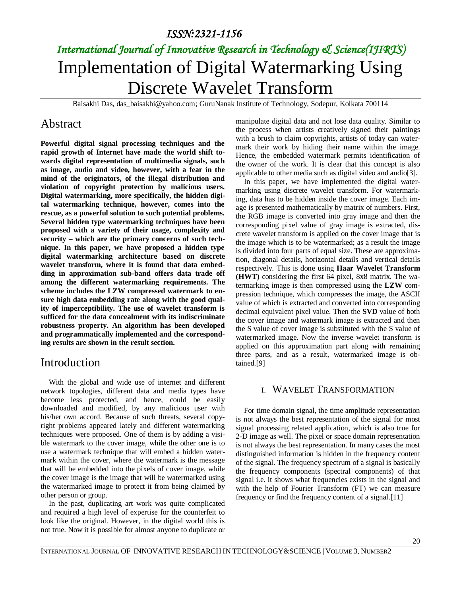*ISSN:2321-1156* 

# *International Journal of Innovative Research in Technology & Science(IJIRTS)* Implementation of Digital Watermarking Using Discrete Wavelet Transform

Baisakhi Das, [das\\_baisakhi@yahoo.com;](mailto:das_baisakhi@yahoo.com) GuruNanak Institute of Technology, Sodepur, Kolkata 700114

### Abstract

**Powerful digital signal processing techniques and the rapid growth of Internet have made the world shift towards digital representation of multimedia signals, such as image, audio and video, however, with a fear in the mind of the originators, of the illegal distribution and violation of copyright protection by malicious users. Digital watermarking, more specifically, the hidden digital watermarking technique, however, comes into the rescue, as a powerful solution to such potential problems. Several hidden type watermarking techniques have been proposed with a variety of their usage, complexity and security – which are the primary concerns of such technique. In this paper, we have proposed a hidden type digital watermarking architecture based on discrete wavelet transform, where it is found that data embedding in approximation sub-band offers data trade off among the different watermarking requirements. The scheme includes the LZW compressed watermark to ensure high data embedding rate along with the good quality of imperceptibility. The use of wavelet transform is sufficed for the data concealment with its indiscriminate robustness property. An algorithm has been developed and programmatically implemented and the corresponding results are shown in the result section.** 

### Introduction

With the global and wide use of internet and different network topologies, different data and media types have become less protected, and hence, could be easily downloaded and modified, by any malicious user with his/her own accord. Because of such threats, several copyright problems appeared lately and different watermarking techniques were proposed. One of them is by adding a visible watermark to the cover image, while the other one is to use a watermark technique that will embed a hidden watermark within the cover, where the watermark is the message that will be embedded into the pixels of cover image, while the cover image is the image that will be watermarked using the watermarked image to protect it from being claimed by other person or group.

In the past, duplicating art work was quite complicated and required a high level of expertise for the counterfeit to look like the original. However, in the digital world this is not true. Now it is possible for almost anyone to duplicate or

manipulate digital data and not lose data quality. Similar to the process when artists creatively signed their paintings with a brush to claim copyrights, artists of today can watermark their work by hiding their name within the image. Hence, the embedded watermark permits identification of the owner of the work. It is clear that this concept is also applicable to other media such as digital video and audio[3].

In this paper, we have implemented the digital watermarking using discrete wavelet transform. For watermarking, data has to be hidden inside the cover image. Each image is presented mathematically by matrix of numbers. First, the RGB image is converted into gray image and then the corresponding pixel value of gray image is extracted, discrete wavelet transform is applied on the cover image that is the image which is to be watermarked; as a result the image is divided into four parts of equal size. These are approximation, diagonal details, horizontal details and vertical details respectively. This is done using **Haar Wavelet Transform (HWT)** considering the first 64 pixel, 8x8 matrix. The watermarking image is then compressed using the **LZW** compression technique, which compresses the image, the ASCII value of which is extracted and converted into corresponding decimal equivalent pixel value. Then the **SVD** value of both the cover image and watermark image is extracted and then the S value of cover image is substituted with the S value of watermarked image. Now the inverse wavelet transform is applied on this approximation part along with remaining three parts, and as a result, watermarked image is obtained.[9]

### I. WAVELET TRANSFORMATION

For time domain signal, the time amplitude representation is not always the best representation of the signal for most signal processing related application, which is also true for 2-D image as well. The pixel or space domain representation is not always the best representation. In many cases the most distinguished information is hidden in the frequency content of the signal. The frequency spectrum of a signal is basically the frequency components (spectral components) of that signal i.e. it shows what frequencies exists in the signal and with the help of Fourier Transform (FT) we can measure frequency or find the frequency content of a signal.[11]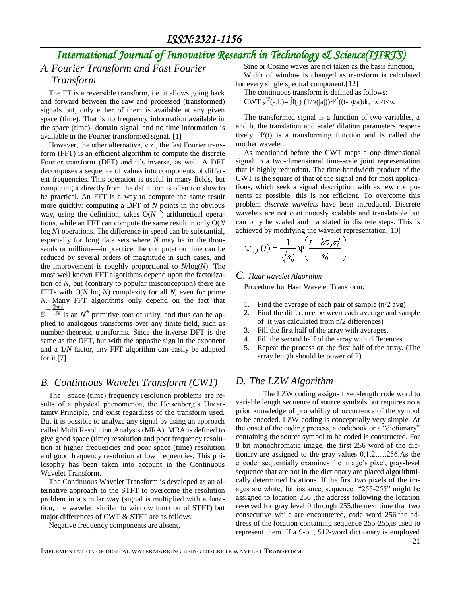## *International Journal of Innovative Research in Technology & Science(IJIRTS)*

# *A. Fourier Transform and Fast Fourier*

### *Transform*

The FT is a reversible transform, i.e. it allows going back and forward between the raw and processed (transformed) signals but, only either of them is available at any given space (time). That is no frequency information available in the space (time)- domain signal, and no time information is available in the Fourier transformed signal. [1]

However, the other alternative, viz., the fast Fourier transform (FFT) is an efficient [algorithm](http://en.wikipedia.org/wiki/Algorithm) to compute the [discrete](http://en.wikipedia.org/wiki/Discrete_Fourier_transform)  [Fourier transform](http://en.wikipedia.org/wiki/Discrete_Fourier_transform) (DFT) and it's inverse, as well. A DFT decomposes a [sequence](http://en.wikipedia.org/wiki/Sequence) of values into components of different frequencies. This operation is useful in many fields, but computing it directly from the definition is often too slow to be practical. An FFT is a way to compute the same result more quickly: computing a DFT of *N* points in the obvious way, using the definition, takes  $O(N^2)$  arithmetical operations, while an FFT can compute the same result in only O(*N* log *N*) operations. The difference in speed can be substantial, especially for long data sets where *N* may be in the thousands or millions—in practice, the computation time can be reduced by several [orders of magnitude](http://en.wikipedia.org/wiki/Orders_of_magnitude) in such cases, and the improvement is roughly [proportional to](http://en.wikipedia.org/wiki/Proportionality_%28mathematics%29) *N*/log(*N*). The most well known FFT algorithms depend upon th[e factoriza](http://en.wikipedia.org/wiki/Factorization)[tion](http://en.wikipedia.org/wiki/Factorization) of *N*, but (contrary to popular misconception) there are FFTs with O(*N* log *N*) [complexity](http://en.wikipedia.org/wiki/Computational_complexity_theory) for all *N*, even for [prime](http://en.wikipedia.org/wiki/Prime_number) *N*. Many FFT algorithms only depend on the fact that ė is an  $N<sup>th</sup>$  primitive root of unity, and thus can be applied to analogous transforms over any [finite field,](http://en.wikipedia.org/wiki/Finite_field) such as [number-theoretic transforms.](http://en.wikipedia.org/wiki/Number-theoretic_transform) Since the inverse DFT is the same as the DFT, but with the opposite sign in the exponent and a 1/*N* factor, any FFT algorithm can easily be adapted for it.[7]

### *B. Continuous Wavelet Transform (CWT)*

The space (time) frequency resolution problems are results of a physical phenomenon, the Heisenberg's Uncertainty Principle, and exist regardless of the transform used. But it is possible to analyze any signal by using an approach called Multi Resolution Analysis (MRA). MRA is defined to give good space (time) resolution and poor frequency resolution at higher frequencies and poor space (time) resolution and good frequency resolution at low frequencies. This philosophy has been taken into account in the Continuous Wavelet Transform.

The Continuous Wavelet Transform is developed as an alternative approach to the STFT to overcome the resolution problem in a similar way (signal is multiplied with a function, the wavelet, similar to window function of STFT) but major differences of CWT & STFT are as follows:

Negative frequency components are absent,

Sine or Cosine waves are not taken as the basis function, Width of window is changed as transform is calculated for every single spectral component.[12]

The continuous transform is defined as follows:

 $CWT \chi^{\Psi}(a,b) = \int f(t) (1/\sqrt{(|a|)}) \Psi^*(t-b)/a) dt, \propto$ 

The transformed signal is a function of two variables, a and b, the translation and scale/ dilation parameters respectively.  $\Psi(t)$  is a transforming function and is called the mother wavelet.

As mentioned before the CWT maps a one-dimensional signal to a two-dimensional time-scale joint representation that is highly redundant. The time-bandwidth product of the CWT is the square of that of the signal and for most applications, which seek a signal description with as few components as possible, this is not efficient. To overcome this problem *discrete wavelets* have been introduced. Discrete wavelets are not continuously scalable and translatable but can only be scaled and translated in discrete steps. This is achieved by modifying the wavelet representation.[10]

$$
\psi_{j,k}(t) = \frac{1}{\sqrt{s_0^j}} \psi \left( \frac{t - k \tau_0 s_0^j}{s_0^j} \right)
$$

#### *C. Haar wavelet Algorithm*

Procedure for Haar Wavelet Transform:

- 1. Find the average of each pair of sample (n/2 avg)
- 2. Find the difference between each average and sample of it was calculated from n/2 differences)
- 3. Fill the first half of the array with averages.
- 4. Fill the second half of the array with differences.
- 5. Repeat the process on the first half of the array. (The array length should be power of 2)

#### *D. The LZW Algorithm*

The LZW coding assigns fixed-length code word to variable length sequence of source symbols but requires no a prior knowledge of probability of occurrence of the symbol to be encoded. LZW coding is conceptually very simple. At the onset of the coding process, a codebook or a "dictionary" containing the source symbol to be coded is constructed. For 8 bit monochromatic image, the first 256 word of the dictionary are assigned to the gray values 0,1,2,….256.As the encoder sequentially examines the image's pixel, gray-level sequence that are not in the dictionary are placed algorithmically determined locations. If the first two pixels of the images are white, for instance, sequence "255-255" might be assigned to location 256 ,the address following the location reserved for gray level 0 through 255.the next time that two consecutive while are encountered, code word 256,the address of the location containing sequence 255-255,is used to represent them. If a 9-bit, 512-word dictionary is employed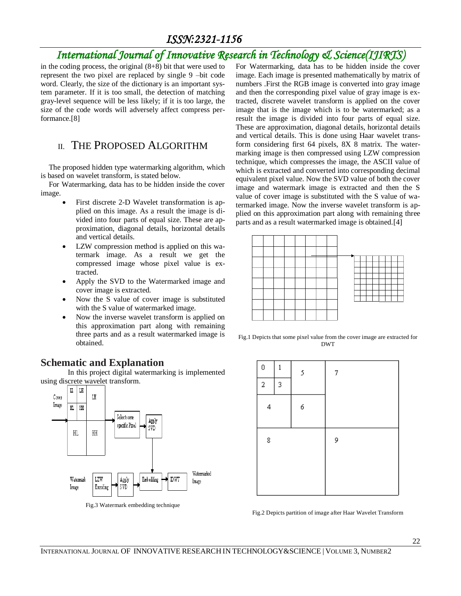## *ISSN:2321-1156*

## *International Journal of Innovative Research in Technology & Science(IJIRTS)*

in the coding process, the original  $(8+8)$  bit that were used to represent the two pixel are replaced by single 9 –bit code word. Clearly, the size of the dictionary is an important system parameter. If it is too small, the detection of matching gray-level sequence will be less likely; if it is too large, the size of the code words will adversely affect compress performance.[8]

### II. THE PROPOSED ALGORITHM

The proposed hidden type watermarking algorithm, which is based on wavelet transform, is stated below.

For Watermarking, data has to be hidden inside the cover image.

- First discrete 2-D Wavelet transformation is applied on this image. As a result the image is divided into four parts of equal size. These are approximation, diagonal details, horizontal details and vertical details.
- LZW compression method is applied on this watermark image. As a result we get the compressed image whose pixel value is extracted.
- Apply the SVD to the Watermarked image and cover image is extracted.
- Now the S value of cover image is substituted with the S value of watermarked image.
- Now the inverse wavelet transform is applied on this approximation part along with remaining three parts and as a result watermarked image is obtained.

For Watermarking, data has to be hidden inside the cover image. Each image is presented mathematically by matrix of numbers .First the RGB image is converted into gray image and then the corresponding pixel value of gray image is extracted, discrete wavelet transform is applied on the cover image that is the image which is to be watermarked; as a result the image is divided into four parts of equal size. These are approximation, diagonal details, horizontal details and vertical details. This is done using Haar wavelet transform considering first 64 pixels, 8X 8 matrix. The watermarking image is then compressed using LZW compression technique, which compresses the image, the ASCII value of which is extracted and converted into corresponding decimal equivalent pixel value. Now the SVD value of both the cover image and watermark image is extracted and then the S value of cover image is substituted with the S value of watermarked image. Now the inverse wavelet transform is applied on this approximation part along with remaining three parts and as a result watermarked image is obtained.[4]



Fig.1 Depicts that some pixel value from the cover image are extracted for DWT

## $\Omega$  $\mathbf{1}$ 5 7  $\overline{2}$ 3 4 6 9 8

Fig.2 Depicts partition of image after Haar Wavelet Transform

### **Schematic and Explanation**

In this project digital watermarking is implemented using discrete wavelet transform.



Fig.3 Watermark embedding technique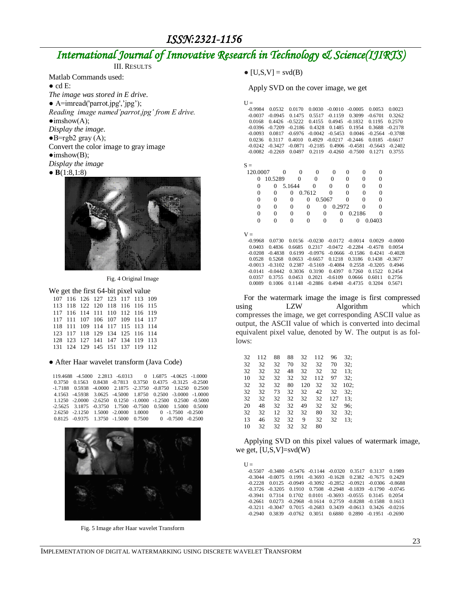*ISSN:2321-1156* 

## *International Journal of Innovative Research in Technology & Science(IJIRTS)*

| 111. INFAILLEN                                |
|-----------------------------------------------|
| Matlab Commands used:                         |
| $\bullet$ cd E:                               |
| The image was stored in E drive.              |
| $\bullet$ A=imread('parrot.jpg','jpg');       |
| Reading image named'parrot.jpg' from E drive. |
| $\bullet$ imshow $(A)$ ;                      |
| Display the image.                            |
| $\bullet$ B=rgb2 gray (A);                    |
| Convert the color image to gray image         |
| $\bullet$ imshow(B);                          |
| Display the image                             |
| • $B(1:8,1:8)$                                |
|                                               |
|                                               |



Fig. 4 Original Image

#### We get the first 64-bit pixel value

|  |  | 107 116 126 127 123 117 113 109 |  |  |
|--|--|---------------------------------|--|--|
|  |  | 113 118 122 120 118 116 116 115 |  |  |
|  |  | 117 116 114 111 110 112 116 119 |  |  |
|  |  | 117 111 107 106 107 109 114 117 |  |  |
|  |  | 118 111 109 114 117 115 113 114 |  |  |
|  |  | 123 117 118 129 134 125 116 114 |  |  |
|  |  | 128 123 127 141 147 134 119 113 |  |  |
|  |  | 131 124 129 145 151 137 119 112 |  |  |

#### **●** After Haar wavelet transform (Java Code)

| 119.4688 -4.5000 2.2813 -6.0313 0 1.6875 -4.0625 -1.0000                   |  |  |
|----------------------------------------------------------------------------|--|--|
| 0.3750 0.1563 0.8438 -0.7813 0.3750 0.4375 -0.3125 -0.2500                 |  |  |
| $-1.7188$ 0.5938 $-4.0000$ 2.1875 $-2.3750$ $-0.8750$ 1.6250 0.2500        |  |  |
| 4.1563 -4.5938 3.0625 -4.5000 1.8750 0.2500 -3.0000 -1.0000                |  |  |
| $1.1250 - 2.0000 - 2.6250 - 0.1250 - 1.0000 - 1.2500 - 0.2500 - 0.5000$    |  |  |
| $-2.5625$ $3.1875$ $-0.3750$ $1.7500$ $-0.7500$ $0.5000$ $1.5000$ $0.5000$ |  |  |
| 2.6250 -2.1250 1.5000 -2.0000 1.0000 0 -1.7500 -0.2500                     |  |  |
| $0.8125 - 0.9375$ $1.3750 - 1.5000$ $0.7500$ 0 $-0.7500$ $-0.2500$         |  |  |



Fig. 5 Image after Haar wavelet Transform

 $\bullet$  [U,S,V] = svd(B)

Apply SVD on the cover image, we get

| $U =$          |                |                  |                          |                  |                                    |                |           |
|----------------|----------------|------------------|--------------------------|------------------|------------------------------------|----------------|-----------|
| $-0.9984$      | 0.0532         | 0.0170           | 0.0030                   | $-0.0010$        | $-0.0005$                          | 0.0053         | 0.0023    |
| $-0.0037$      | $-0.0945$      | 0.1475           | 0.5517                   | $-0.1159$        | 0.3099                             | $-0.6701$      | 0.3262    |
| 0.0168         | 0.4426         | $-0.5222$        | 0.4155                   | 0.4945           | $-0.1832$                          | 0.1195         | 0.2570    |
| $-0.0396$      | $-0.7209$      | $-0.2186$        | 0.4328                   | 0.1485           | 0.1954                             | 0.3688         | $-0.2178$ |
| $-0.0093$      | 0.0817         | $-0.6976$        | $-0.0042$                | $-0.5453$        | 0.0046                             | $-0.2564$      | $-0.3788$ |
| 0.0236         | 0.3117         | 0.4010           | 0.4929                   | $-0.0217$        | $-0.2446$                          | 0.0185         | $-0.6617$ |
| $-0.0242$      | $-0.3427$      | $-0.0871$        | $-0.2185$                | 0.4906           | $-0.4581$                          | $-0.5643$      | $-0.2402$ |
| $-0.0082$      | $-0.2269$      | 0.0497           | 0.2119                   | $-0.4260$        | $-0.7500$                          | 0.1271         | 0.3755    |
|                |                |                  |                          |                  |                                    |                |           |
| $S =$          |                |                  |                          |                  |                                    |                |           |
| 120,0007       | $\theta$       | $\overline{0}$   | $\theta$                 | $\boldsymbol{0}$ | $\overline{0}$<br>$\boldsymbol{0}$ | $\overline{0}$ |           |
| $\theta$       | 10.5289        | 0                | $\theta$                 | 0                | $\mathbf{0}$<br>$\mathbf{0}$       | $\overline{0}$ |           |
| $\overline{0}$ | 0              | 5.1644           | 0                        | 0                | $\overline{0}$<br>$\mathbf{0}$     | 0              |           |
| $\overline{0}$ | 0              | $\overline{0}$   | 0.7612                   | $\mathbf{0}$     | $\overline{0}$<br>$\boldsymbol{0}$ | 0              |           |
| $\overline{0}$ | 0              | $\overline{0}$   | $\mathbf{0}$<br>0.5067   |                  | $\overline{0}$<br>$\mathbf{0}$     | $\overline{0}$ |           |
| $\overline{0}$ | $\overline{0}$ | $\boldsymbol{0}$ | $\theta$<br>$\mathbf{0}$ | 0.2972           | $\mathbf{0}$                       | $\theta$       |           |
| $\theta$       | $\theta$       | $\overline{0}$   | $\theta$<br>$\mathbf{0}$ | $\theta$         | 0.2186                             | 0              |           |
| $\theta$       | $\theta$       | $\overline{0}$   | $\theta$<br>$\Omega$     | $\mathbf{0}$     | $\theta$                           | 0.0403         |           |
|                |                |                  |                          |                  |                                    |                |           |
| $V =$          |                |                  |                          |                  |                                    |                |           |
| $-0.9968$      | 0.0730         | 0.0156           | $-0.0230$                | $-0.0172$        | $-0.0014$                          | 0.0029         | $-0.0000$ |
| 0.0403         | 0.4836         | 0.6685           | 0.2317                   | $-0.0472$        | $-0.2284$                          | $-0.4578$      | 0.0054    |
| $-0.0208$      | $-0.4838$      | 0.6199           | $-0.0976$                | $-0.0666$        | $-0.1586$                          | 0.4241         | $-0.4028$ |
| 0.0528         | 0.5268         | 0.0653           | $-0.6657$                | 0.1218           | 0.3186                             | 0.1438         | $-0.3677$ |
| $-0.0013$      | $-0.3102$      | 0.2387           | $-0.5169$                | $-0.4084$        | 0.2558                             | $-0.3205$      | 0.4946    |
| $-0.0141$      | $-0.0442$      | 0.3036           | 0.3190                   | 0.4397           | 0.7260                             | 0.1522         | 0.2454    |
| 0.0357         | 0.3755         | 0.0453           | 0.2021                   | $-0.6109$        | 0.0666                             | 0.6011         | 0.2756    |
| 0.0089         | 0.1006         | 0.1148           | $-0.2886$                | 0.4948           | $-0.4735$                          | 0.3204         | 0.5671    |

For the watermark image the image is first compressed using LZW Algorithm which compresses the image, we get corresponding ASCII value as output, the ASCII value of which is converted into decimal equivalent pixel value, denoted by W. The output is as follows:

| 32 | 112 | 88 | 88 | 32  | 112 | 96  | 32;  |
|----|-----|----|----|-----|-----|-----|------|
| 32 | 32  | 32 | 70 | 32  | 32  | 70  | 32:  |
| 32 | 32  | 32 | 48 | 32  | 32  | 32  | 13:  |
| 10 | 32  | 32 | 32 | 32  | 112 | 97  | 32:  |
| 32 | 32  | 32 | 80 | 120 | 32  | 32  | 102: |
| 32 | 32  | 73 | 32 | 32  | 42  | 32  | 32:  |
| 32 | 32  | 32 | 32 | 32  | 32  | 127 | 13:  |
| 20 | 48  | 32 | 32 | 49  | 32  | 32  | 96:  |
| 32 | 32  | 12 | 32 | 32  | 80  | 32  | 32:  |
| 13 | 46  | 32 | 32 | 9   | 32  | 32  | 13:  |
| 10 | 32  | 32 | 32 | 32  | 80  |     |      |
|    |     |    |    |     |     |     |      |

Applying SVD on this pixel values of watermark image, we get, [U,S,V]=svd(W)

 $U =$  -0.5507 -0.3480 -0.5476 -0.1144 -0.0320 0.3517 0.3137 0.1989 -0.3044 -0.0075 0.1991 -0.3693 -0.1628 0.2382 -0.7675 0.2429  $\begin{array}{cccccc} 0.0125 & -0.0949 & -0.3092 & -0.2852 & -0.0921 & -0.0306 & -0.8688 \\ -0.3205 & 0.1910 & 0.7508 & -0.2948 & -0.1839 & -0.1790 & -0.0745 \end{array}$  $-0.3726$  -0.3941 0.7314 0.1702 0.0101 -0.3693 -0.0555 0.3145 0.2054 -0.2661 0.0273 -0.2968 -0.1614 0.2759 -0.8288 -0.1588 0.1613  $\begin{array}{cccccccc} -0.3211 & -0.3047 & 0.7015 & -0.2683 & 0.3439 & -0.0613 & 0.3426 & -0.0216 \\ -0.2940 & 0.3839 & -0.0762 & 0.3051 & 0.6880 & 0.2890 & -0.1951 & -0.2690 \end{array}$  $-0.0762$   $0.3051$   $0.6880$